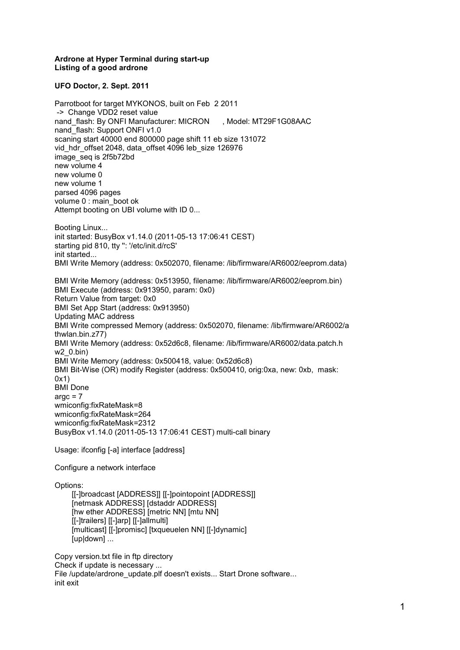## **Ardrone at Hyper Terminal during start-up Listing of a good ardrone**

## **UFO Doctor, 2. Sept. 2011**

Parrotboot for target MYKONOS, built on Feb 2 2011 -> Change VDD2 reset value nand flash: By ONFI Manufacturer: MICRON , Model: MT29F1G08AAC nand\_flash: Support ONFI v1.0 scaning start 40000 end 800000 page shift 11 eb size 131072 vid\_hdr\_offset 2048, data\_offset 4096 leb\_size 126976 image\_seq is 2f5b72bd new volume 4 new volume 0 new volume 1 parsed 4096 pages volume 0 : main\_boot ok Attempt booting on UBI volume with ID 0... Booting Linux... init started: BusyBox v1.14.0 (2011-05-13 17:06:41 CEST) starting pid 810, tty '': '/etc/init.d/rcS' init started... BMI Write Memory (address: 0x502070, filename: /lib/firmware/AR6002/eeprom.data) BMI Write Memory (address: 0x513950, filename: /lib/firmware/AR6002/eeprom.bin) BMI Execute (address: 0x913950, param: 0x0) Return Value from target: 0x0 BMI Set App Start (address: 0x913950) Updating MAC address BMI Write compressed Memory (address: 0x502070, filename: /lib/firmware/AR6002/a thwlan.bin.z77) BMI Write Memory (address: 0x52d6c8, filename: /lib/firmware/AR6002/data.patch.h w2\_0.bin) BMI Write Memory (address: 0x500418, value: 0x52d6c8) BMI Bit-Wise (OR) modify Register (address: 0x500410, orig:0xa, new: 0xb, mask: 0x1) BMI Done  $\arcc = 7$ wmiconfig:fixRateMask=8 wmiconfig:fixRateMask=264 wmiconfig:fixRateMask=2312 BusyBox v1.14.0 (2011-05-13 17:06:41 CEST) multi-call binary Usage: ifconfig [-a] interface [address] Configure a network interface Options: [[-]broadcast [ADDRESS]] [[-]pointopoint [ADDRESS]] [netmask ADDRESS] [dstaddr ADDRESS] [hw ether ADDRESS] [metric NN] [mtu NN] [[-]trailers] [[-]arp] [[-]allmulti] [multicast] [[-]promisc] [txqueuelen NN] [[-]dynamic] [up|down] ...

Copy version.txt file in ftp directory Check if update is necessary ... File /update/ardrone\_update.plf doesn't exists... Start Drone software... init exit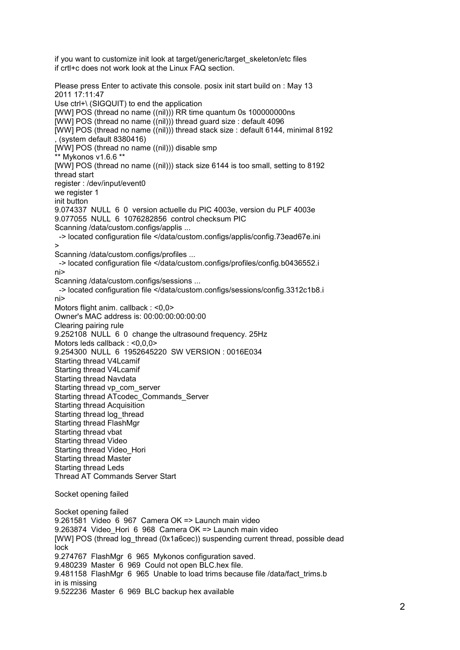if you want to customize init look at target/generic/target skeleton/etc files if crtl+c does not work look at the Linux FAQ section.

Please press Enter to activate this console. posix init start build on : May 13 2011 17:11:47 Use ctrl+\ (SIGQUIT) to end the application [WW] POS (thread no name ((nil))) RR time quantum 0s 1000000000ns [WW] POS (thread no name ((nil))) thread guard size : default 4096 [WW] POS (thread no name ((nil))) thread stack size : default 6144, minimal 8192 , (system default 8380416) [WW] POS (thread no name ((nil))) disable smp \*\* Mykonos v1.6.6 \*\* [WW] POS (thread no name ((nil))) stack size 6144 is too small, setting to 8192 thread start register : /dev/input/event0 we register 1 init button 9.074337 NULL 6 0 version actuelle du PIC 4003e, version du PLF 4003e 9.077055 NULL 6 1076282856 control checksum PIC Scanning /data/custom.configs/applis ... -> located configuration file </data/custom.configs/applis/config.73ead67e.ini > Scanning /data/custom.configs/profiles ... -> located configuration file </data/custom.configs/profiles/config.b0436552.i ni> Scanning /data/custom.configs/sessions ... -> located configuration file </data/custom.configs/sessions/config.3312c1b8.i ni> Motors flight anim. callback : <0,0> Owner's MAC address is: 00:00:00:00:00:00 Clearing pairing rule 9.252108 NULL 6 0 change the ultrasound frequency. 25Hz Motors leds callback : <0,0,0> 9.254300 NULL 6 1952645220 SW VERSION : 0016E034 Starting thread V4Lcamif Starting thread V4Lcamif Starting thread Navdata Starting thread vp\_com\_server Starting thread ATcodec\_Commands\_Server Starting thread Acquisition Starting thread log\_thread Starting thread FlashMgr Starting thread vbat Starting thread Video Starting thread Video\_Hori Starting thread Master Starting thread Leds Thread AT Commands Server Start Socket opening failed Socket opening failed 9.261581 Video 6 967 Camera OK => Launch main video 9.263874 Video Hori 6 968 Camera OK => Launch main video [WW] POS (thread log\_thread (0x1a6cec)) suspending current thread, possible dead lock 9.274767 FlashMgr 6 965 Mykonos configuration saved. 9.480239 Master 6 969 Could not open BLC.hex file. 9.481158 FlashMgr 6 965 Unable to load trims because file /data/fact\_trims.b in is missing

9.522236 Master 6 969 BLC backup hex available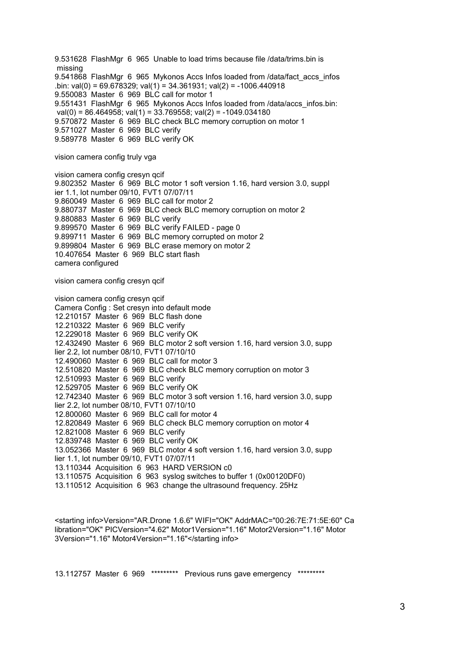9.531628 FlashMgr 6 965 Unable to load trims because file /data/trims.bin is missing 9.541868 FlashMgr 6 965 Mykonos Accs Infos loaded from /data/fact\_accs\_infos .bin: val(0) = 69.678329; val(1) = 34.361931; val(2) = -1006.440918 9.550083 Master 6 969 BLC call for motor 1 9.551431 FlashMgr 6 965 Mykonos Accs Infos loaded from /data/accs\_infos.bin: val(0) = 86.464958; val(1) = 33.769558; val(2) = -1049.034180 9.570872 Master 6 969 BLC check BLC memory corruption on motor 1 9.571027 Master 6 969 BLC verify 9.589778 Master 6 969 BLC verify OK

vision camera config truly vga

vision camera config cresyn qcif 9.802352 Master 6 969 BLC motor 1 soft version 1.16, hard version 3.0, suppl ier 1.1, lot number 09/10, FVT1 07/07/11 9.860049 Master 6 969 BLC call for motor 2 9.880737 Master 6 969 BLC check BLC memory corruption on motor 2 9.880883 Master 6 969 BLC verify 9.899570 Master 6 969 BLC verify FAILED - page 0 9.899711 Master 6 969 BLC memory corrupted on motor 2 9.899804 Master 6 969 BLC erase memory on motor 2 10.407654 Master 6 969 BLC start flash camera configured

vision camera config cresyn qcif

vision camera config cresyn qcif Camera Config : Set cresyn into default mode 12.210157 Master 6 969 BLC flash done 12.210322 Master 6 969 BLC verify 12.229018 Master 6 969 BLC verify OK 12.432490 Master 6 969 BLC motor 2 soft version 1.16, hard version 3.0, supp lier 2.2, lot number 08/10, FVT1 07/10/10 12.490060 Master 6 969 BLC call for motor 3 12.510820 Master 6 969 BLC check BLC memory corruption on motor 3 12.510993 Master 6 969 BLC verify 12.529705 Master 6 969 BLC verify OK 12.742340 Master 6 969 BLC motor 3 soft version 1.16, hard version 3.0, supp lier 2.2, lot number 08/10, FVT1 07/10/10 12.800060 Master 6 969 BLC call for motor 4 12.820849 Master 6 969 BLC check BLC memory corruption on motor 4 12.821008 Master 6 969 BLC verify 12.839748 Master 6 969 BLC verify OK 13.052366 Master 6 969 BLC motor 4 soft version 1.16, hard version 3.0, supp lier 1.1, lot number 09/10, FVT1 07/07/11 13.110344 Acquisition 6 963 HARD VERSION c0 13.110575 Acquisition 6 963 syslog switches to buffer 1 (0x00120DF0) 13.110512 Acquisition 6 963 change the ultrasound frequency. 25Hz

<starting info>Version="AR.Drone 1.6.6" WIFI="OK" AddrMAC="00:26:7E:71:5E:60" Ca libration="OK" PICVersion="4.62" Motor1Version="1.16" Motor2Version="1.16" Motor 3Version="1.16" Motor4Version="1.16"</starting info>

13.112757 Master 6 969 \*\*\*\*\*\*\*\*\* Previous runs gave emergency \*\*\*\*\*\*\*\*\*